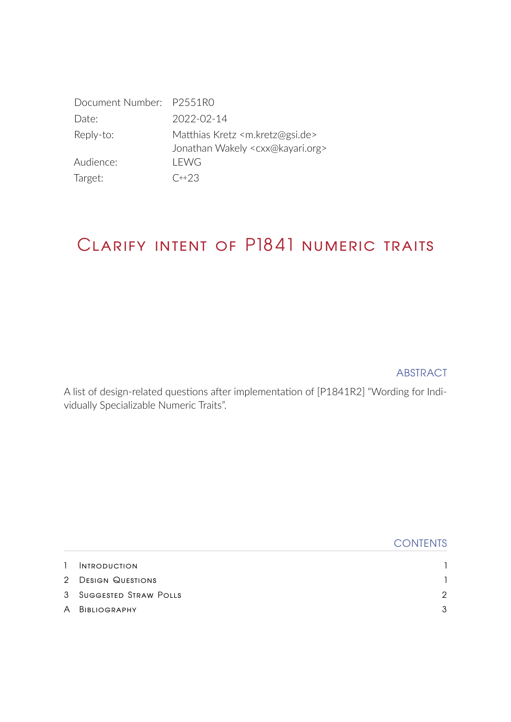| Document Number: P2551R0 |                                                                                                        |
|--------------------------|--------------------------------------------------------------------------------------------------------|
| Date:                    | 2022-02-14                                                                                             |
| Reply-to:                | Matthias Kretz <m.kretz@gsi.de><br/>Jonathan Wakely <cxx@kayari.org></cxx@kayari.org></m.kretz@gsi.de> |
| Audience:                | LEWG                                                                                                   |
| Target:                  | $C+23$                                                                                                 |

# Clarify intent of P1841 numeric traits

### ABSTRACT

A list of design-related questions after implementation of [\[P1841R2\]](#page-3-0) "Wording for Individually Specializable Numeric Traits".

|              |                         | <b>CONTENTS</b> |
|--------------|-------------------------|-----------------|
| $\mathbf{1}$ | <b>INTRODUCTION</b>     |                 |
|              | 2 DESIGN QUESTIONS      |                 |
|              | 3 SUGGESTED STRAW POLLS | 2               |
|              | A BIBLIOGRAPHY          | 3               |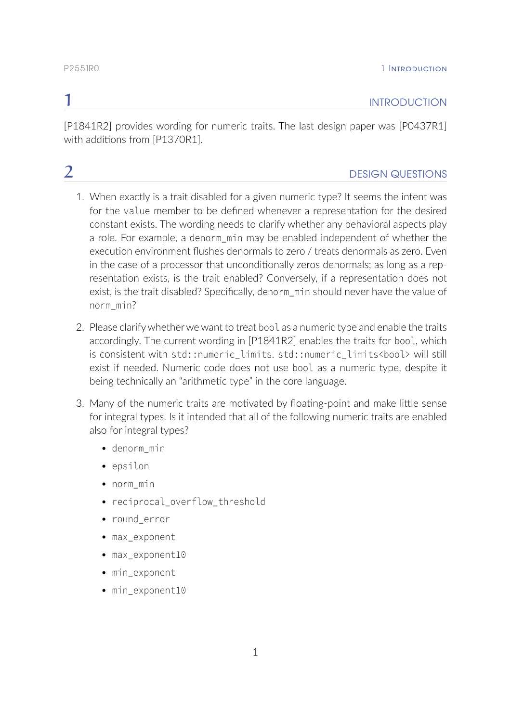### <span id="page-1-0"></span>**1** INTRODUCTION

[\[P1841R2\]](#page-3-0) provides wording for numeric traits. The last design paper was [\[P0437R1\]](#page-3-2) with additions from [\[P1370R1\]](#page-3-3).

### <span id="page-1-1"></span>**2** DESIGN QUESTIONS

- 1. When exactly is a trait disabled for a given numeric type? It seems the intent was for the value member to be defined whenever a representation for the desired constant exists. The wording needs to clarify whether any behavioral aspects play a role. For example, a denorm min may be enabled independent of whether the execution environment flushes denormals to zero / treats denormals as zero. Even in the case of a processor that unconditionally zeros denormals; as long as a representation exists, is the trait enabled? Conversely, if a representation does not exist, is the trait disabled? Specifically, denorm\_min should never have the value of norm\_min?
- 2. Please clarify whether we want to treat bool as a numeric type and enable the traits accordingly. The current wording in [\[P1841R2\]](#page-3-0) enables the traits for bool, which is consistent with std::numeric\_limits. std::numeric\_limits<bool> will still exist if needed. Numeric code does not use bool as a numeric type, despite it being technically an "arithmetic type" in the core language.
- 3. Many of the numeric traits are motivated by floating-point and make little sense for integral types. Is it intended that all of the following numeric traits are enabled also for integral types?
	- denorm\_min
	- epsilon
	- norm\_min
	- reciprocal overflow threshold
	- round error
	- max\_exponent
	- max exponent10
	- min\_exponent
	- min\_exponent10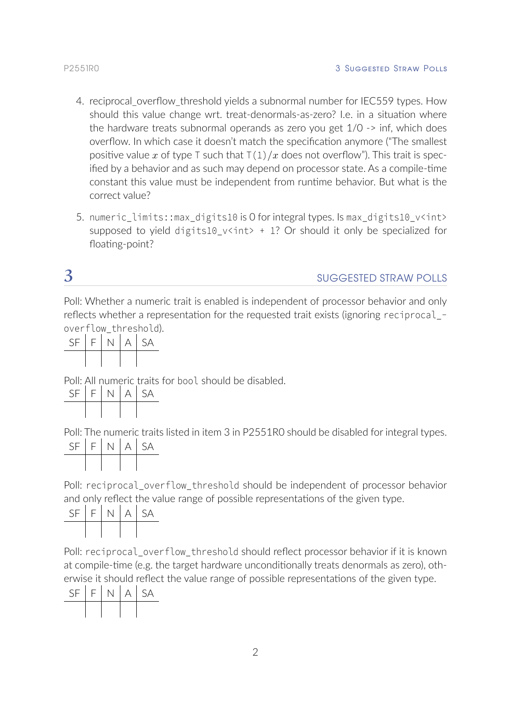- 4. reciprocal overflow threshold yields a subnormal number for IEC559 types. How should this value change wrt. treat-denormals-as-zero? I.e. in a situation where the hardware treats subnormal operands as zero you get 1/0 -> inf, which does overflow. In which case it doesn't match the specification anymore ("The smallest positive value x of type T such that  $T(1)/x$  does not overflow"). This trait is specified by a behavior and as such may depend on processor state. As a compile-time constant this value must be independent from runtime behavior. But what is the correct value?
- 5. numeric\_limits::max\_digits10 is 0 for integral types. Is max\_digits10\_v<int> supposed to yield digits10\_v<int> + 1? Or should it only be specialized for floating-point?

## <span id="page-2-0"></span>3 SUGGESTED STRAW POLLS

Poll: Whether a numeric trait is enabled is independent of processor behavior and only reflects whether a representation for the requested trait exists (ignoring reciprocal\_ overflow\_threshold).

| $SF$ $F$ $N$ |  | A SA |
|--------------|--|------|
|              |  |      |

Poll: All numeric traits for bool should be disabled.

| -SF | $F$ . | A | - SA |
|-----|-------|---|------|
|     |       |   |      |

Poll: The numeric traits listed in item 3 in P2551R0 should be disabled for integral types.  $N$   $A$   $SA$ 

Poll: reciprocal overflow threshold should be independent of processor behavior and only reflect the value range of possible representations of the given type.

| <b>SF</b> | $F \perp$ | N. | l A | I SA |
|-----------|-----------|----|-----|------|
|           |           |    |     |      |

Poll: reciprocal\_overflow\_threshold should reflect processor behavior if it is known at compile-time (e.g. the target hardware unconditionally treats denormals as zero), otherwise it should reflect the value range of possible representations of the given type.